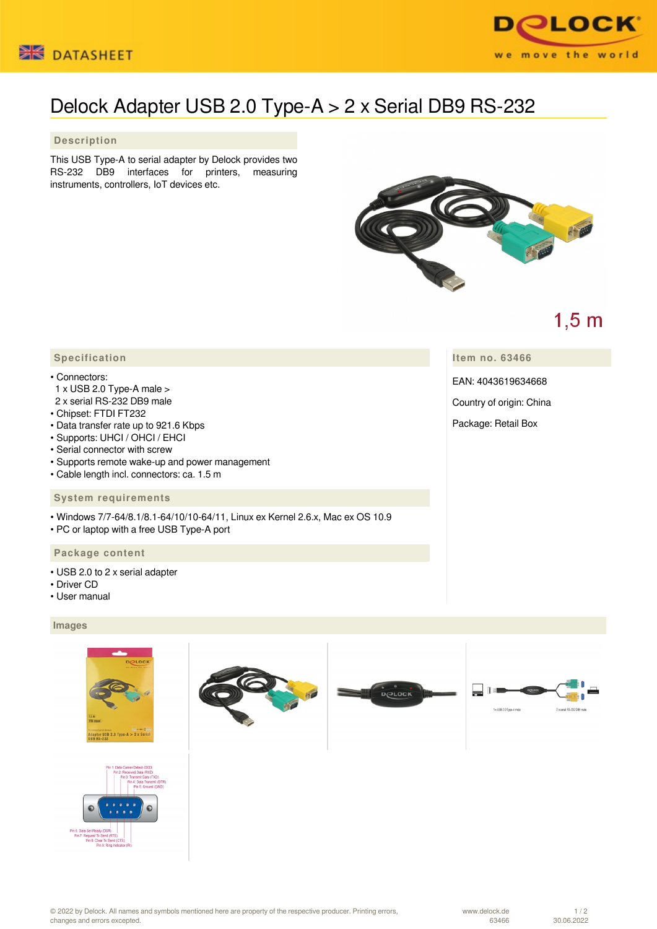



# Delock Adapter USB 2.0 Type-A > 2 x Serial DB9 RS-232

### **Description**

This USB Type-A to serial adapter by Delock provides two RS-232 DB9 interfaces for printers, measuring instruments, controllers, IoT devices etc.



## $1,5$  m

**Item no. 63466**

EAN: 4043619634668

Country of origin: China

Package: Retail Box

### **Specification**

#### • Connectors:

- 1 x USB 2.0 Type-A male >
- 2 x serial RS-232 DB9 male
- Chipset: FTDI FT232
- Data transfer rate up to 921.6 Kbps
- Supports: UHCI / OHCI / EHCI
- Serial connector with screw
- Supports remote wake-up and power management
- Cable length incl. connectors: ca. 1.5 m

#### **System requirements**

- Windows 7/7-64/8.1/8.1-64/10/10-64/11, Linux ex Kernel 2.6.x, Mac ex OS 10.9
- PC or laptop with a free USB Type-A port

#### **Package content**

- USB 2.0 to 2 x serial adapter
- Driver CD
- User manual

#### **Images**